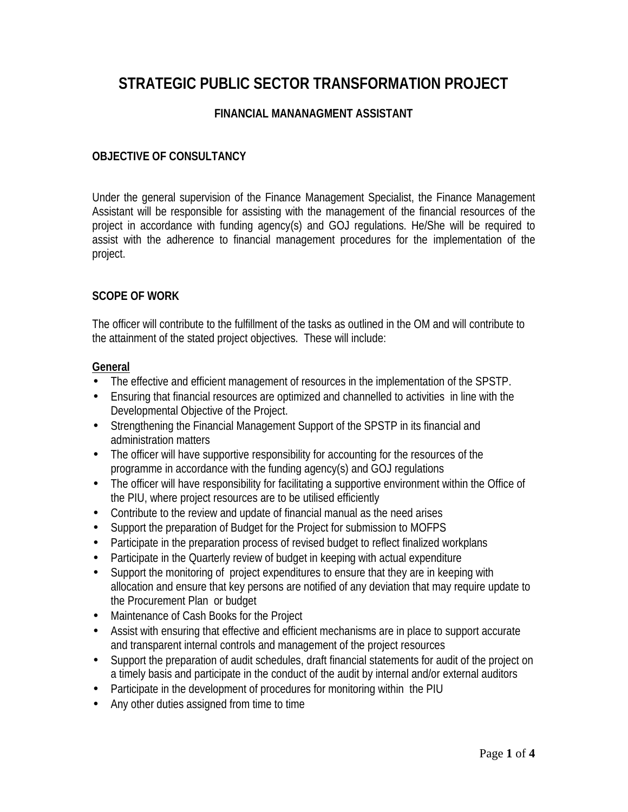# **STRATEGIC PUBLIC SECTOR TRANSFORMATION PROJECT**

#### **FINANCIAL MANANAGMENT ASSISTANT**

#### **OBJECTIVE OF CONSULTANCY**

Under the general supervision of the Finance Management Specialist, the Finance Management Assistant will be responsible for assisting with the management of the financial resources of the project in accordance with funding agency(s) and GOJ regulations. He/She will be required to assist with the adherence to financial management procedures for the implementation of the project.

#### **SCOPE OF WORK**

The officer will contribute to the fulfillment of the tasks as outlined in the OM and will contribute to the attainment of the stated project objectives. These will include:

#### **General**

- The effective and efficient management of resources in the implementation of the SPSTP.
- Ensuring that financial resources are optimized and channelled to activities in line with the Developmental Objective of the Project.
- Strengthening the Financial Management Support of the SPSTP in its financial and administration matters
- The officer will have supportive responsibility for accounting for the resources of the programme in accordance with the funding agency(s) and GOJ regulations
- The officer will have responsibility for facilitating a supportive environment within the Office of the PIU, where project resources are to be utilised efficiently
- Contribute to the review and update of financial manual as the need arises
- Support the preparation of Budget for the Project for submission to MOFPS
- Participate in the preparation process of revised budget to reflect finalized workplans
- Participate in the Quarterly review of budget in keeping with actual expenditure
- Support the monitoring of project expenditures to ensure that they are in keeping with allocation and ensure that key persons are notified of any deviation that may require update to the Procurement Plan or budget
- Maintenance of Cash Books for the Project
- Assist with ensuring that effective and efficient mechanisms are in place to support accurate and transparent internal controls and management of the project resources
- Support the preparation of audit schedules, draft financial statements for audit of the project on a timely basis and participate in the conduct of the audit by internal and/or external auditors
- Participate in the development of procedures for monitoring within the PIU
- Any other duties assigned from time to time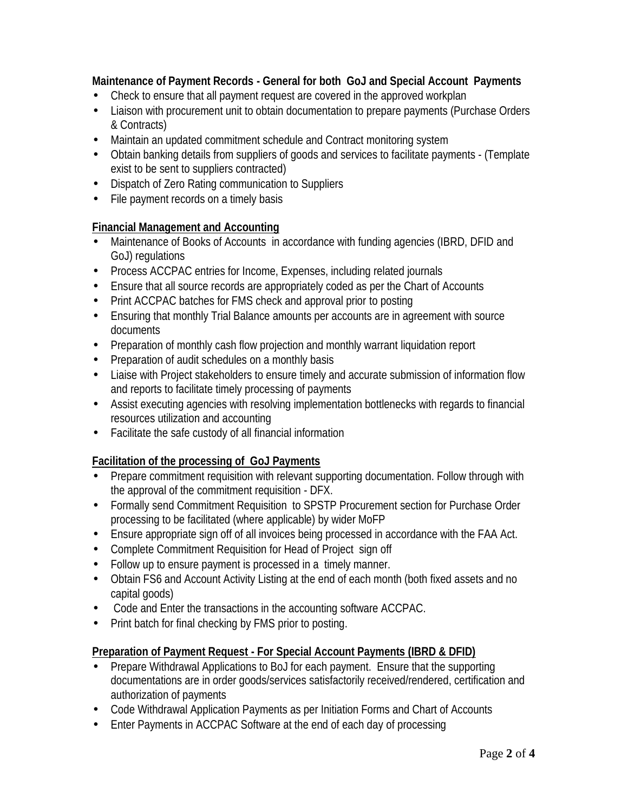## **Maintenance of Payment Records - General for both GoJ and Special Account Payments**

- Check to ensure that all payment request are covered in the approved workplan
- Liaison with procurement unit to obtain documentation to prepare payments (Purchase Orders & Contracts)
- Maintain an updated commitment schedule and Contract monitoring system
- Obtain banking details from suppliers of goods and services to facilitate payments (Template exist to be sent to suppliers contracted)
- Dispatch of Zero Rating communication to Suppliers
- File payment records on a timely basis

### **Financial Management and Accounting**

- Maintenance of Books of Accounts in accordance with funding agencies (IBRD, DFID and GoJ) regulations
- Process ACCPAC entries for Income, Expenses, including related journals
- Ensure that all source records are appropriately coded as per the Chart of Accounts
- Print ACCPAC batches for FMS check and approval prior to posting
- Ensuring that monthly Trial Balance amounts per accounts are in agreement with source documents
- Preparation of monthly cash flow projection and monthly warrant liquidation report
- Preparation of audit schedules on a monthly basis
- Liaise with Project stakeholders to ensure timely and accurate submission of information flow and reports to facilitate timely processing of payments
- Assist executing agencies with resolving implementation bottlenecks with regards to financial resources utilization and accounting
- Facilitate the safe custody of all financial information

# **Facilitation of the processing of GoJ Payments**

- Prepare commitment requisition with relevant supporting documentation. Follow through with the approval of the commitment requisition - DFX.
- Formally send Commitment Requisition to SPSTP Procurement section for Purchase Order processing to be facilitated (where applicable) by wider MoFP
- Ensure appropriate sign off of all invoices being processed in accordance with the FAA Act.
- Complete Commitment Requisition for Head of Project sign off
- Follow up to ensure payment is processed in a timely manner.
- Cotain FS6 and Account Activity Listing at the end of each month (both fixed assets and no capital goods)
- Code and Enter the transactions in the accounting software ACCPAC.
- Print batch for final checking by FMS prior to posting.

# **Preparation of Payment Request - For Special Account Payments (IBRD & DFID)**

- Prepare Withdrawal Applications to BoJ for each payment. Ensure that the supporting documentations are in order goods/services satisfactorily received/rendered, certification and authorization of payments
- Code Withdrawal Application Payments as per Initiation Forms and Chart of Accounts
- Enter Payments in ACCPAC Software at the end of each day of processing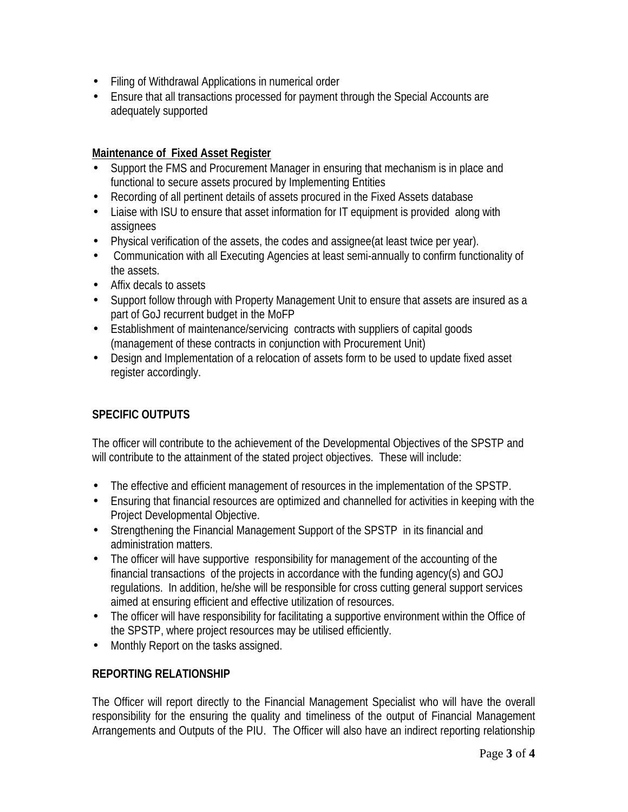- Filing of Withdrawal Applications in numerical order
- Ensure that all transactions processed for payment through the Special Accounts are adequately supported

#### **Maintenance of Fixed Asset Register**

- Support the FMS and Procurement Manager in ensuring that mechanism is in place and functional to secure assets procured by Implementing Entities
- Recording of all pertinent details of assets procured in the Fixed Assets database
- Liaise with ISU to ensure that asset information for IT equipment is provided along with assignees
- Physical verification of the assets, the codes and assignee(at least twice per year).
- Communication with all Executing Agencies at least semi-annually to confirm functionality of the assets.
- Affix decals to assets
- Support follow through with Property Management Unit to ensure that assets are insured as a part of GoJ recurrent budget in the MoFP
- Establishment of maintenance/servicing contracts with suppliers of capital goods (management of these contracts in conjunction with Procurement Unit)
- Design and Implementation of a relocation of assets form to be used to update fixed asset register accordingly.

# **SPECIFIC OUTPUTS**

The officer will contribute to the achievement of the Developmental Objectives of the SPSTP and will contribute to the attainment of the stated project objectives. These will include:

- The effective and efficient management of resources in the implementation of the SPSTP.
- Ensuring that financial resources are optimized and channelled for activities in keeping with the Project Developmental Objective.
- Strengthening the Financial Management Support of the SPSTP in its financial and administration matters.
- The officer will have supportive responsibility for management of the accounting of the financial transactions of the projects in accordance with the funding agency(s) and GOJ regulations. In addition, he/she will be responsible for cross cutting general support services aimed at ensuring efficient and effective utilization of resources.
- The officer will have responsibility for facilitating a supportive environment within the Office of the SPSTP, where project resources may be utilised efficiently.
- Monthly Report on the tasks assigned.

# **REPORTING RELATIONSHIP**

The Officer will report directly to the Financial Management Specialist who will have the overall responsibility for the ensuring the quality and timeliness of the output of Financial Management Arrangements and Outputs of the PIU. The Officer will also have an indirect reporting relationship